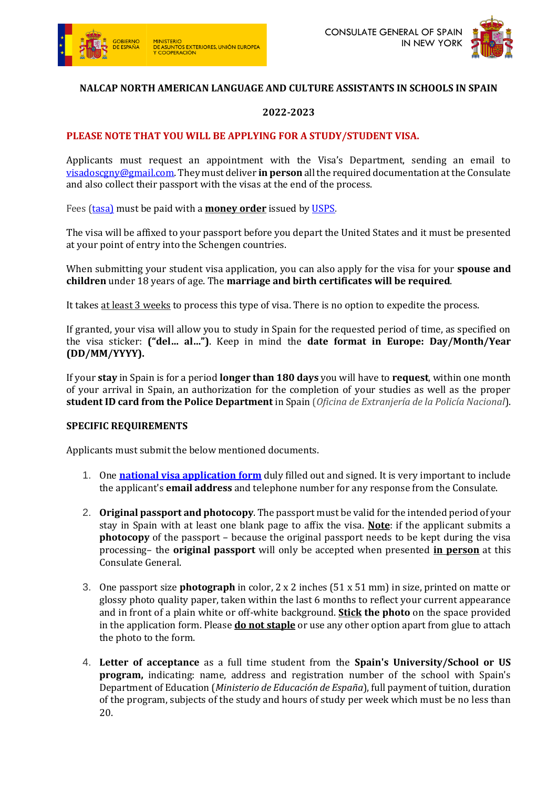



# **NALCAP NORTH AMERICAN LANGUAGE AND CULTURE ASSISTANTS IN SCHOOLS IN SPAIN**

## **2022-2023**

### **PLEASE NOTE THAT YOU WILL BE APPLYING FOR A STUDY/STUDENT VISA.**

Applicants must request an appointment with the Visa's Department, sending an email to [visadoscgny@gmail.com.](mailto:visadoscgny@gmail.com) They must deliver **in person** all the required documentation at the Consulate and also collect their passport with the visas at the end of the process.

Fees [\(tasa\)](https://www.exteriores.gob.es/DocumentosAuxiliaresSC/Estados%20Unidos/NUEVA%20YORK%20(C)/Tasas%20Consulares%20NY.pdf) must be paid with a **money order** issued by [USPS.](https://www.usps.com/shop/money-orders.htm)

The visa will be affixed to your passport before you depart the United States and it must be presented at your point of entry into the Schengen countries.

When submitting your student visa application, you can also apply for the visa for your **spouse and children** under 18 years of age. The **marriage and birth certificates will be required**.

It takes at least 3 weeks to process this type of visa. There is no option to expedite the process.

If granted, your visa will allow you to study in Spain for the requested period of time, as specified on the visa sticker: **("del… al…")**. Keep in mind the **date format in Europe: Day/Month/Year (DD/MM/YYYY).**

If your **stay** in Spain is for a period **longer than 180 days** you will have to **request**, within one month of your arrival in Spain, an authorization for the completion of your studies as well as the proper **student ID card from the Police Department** in Spain (*Oficina de Extranjería [de la Policía Nacional](http://www.policia.es/documentacion/oficinas/oficinas_extran.html)*[\).](http://www.policia.es/documentacion/oficinas/oficinas_extran.html) 

#### **SPECIFIC REQUIREMENTS**

Applicants must submit the below mentioned documents.

- 1. One **[n](http://www.exteriores.gob.es/Consulados/NUEVAYORK/en/ServiciosConsulares/Documents/2010Solicitud%20de%20visado%20nacional%20-%20EN.pdf)ational visa [application form](https://www.exteriores.gob.es/DocumentosAuxiliaresSC/Estados%20Unidos/NUEVA%20YORK%20(C)/Formulario%20visado%20nacional.pdf)** duly filled out and signed. It is very important to include the applicant's **email address** and telephone number for any response from the Consulate.
- 2. **Original passport and photocopy**. The passport must be valid for the intended period of your stay in Spain with at least one blank page to affix the visa. **Note**: if the applicant submits a **photocopy** of the passport – because the original passport needs to be kept during the visa processing– the **original passport** will only be accepted when presented **in person** at this Consulate General.
- 3. One passport size **photograph** in color, 2 x 2 inches (51 x 51 mm) in size, printed on matte or glossy photo quality paper, taken within the last 6 months to reflect your current appearance and in front of a plain white or off-white background. **Stick the photo** on the space provided in the application form. Please **do not staple** or use any other option apart from glue to attach the photo to the form.
- 4. **Letter of acceptance** as a full time student from the **Spain's University/School or US program,** indicating: name, address and registration number of the school with Spain's Department of Education (*Ministerio de Educación de España*), full payment of tuition, duration of the program, subjects of the study and hours of study per week which must be no less than 20.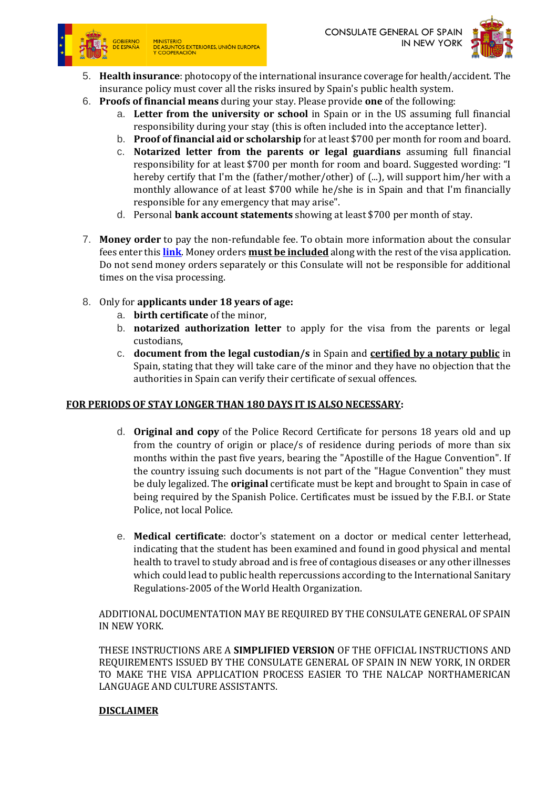

MINISTERIO<br>DE ASUNTOS EXTERIORES, UNIÓN EUROPEA<br>Y COOPERACIÓN



- 5. **Health insurance**: photocopy of the international insurance coverage for health/accident. The insurance policy must cover all the risks insured by Spain's public health system.
- 6. **Proofs of financial means** during your stay. Please provide **one** of the following:
	- a. **Letter from the university or school** in Spain or in the US assuming full financial responsibility during your stay (this is often included into the acceptance letter).
	- b. **Proof of financial aid or scholarship** for at least \$700 per month for room and board.
	- c. **Notarized letter from the parents or legal guardians** assuming full financial responsibility for at least \$700 per month for room and board. Suggested wording: "I hereby certify that I'm the (father/mother/other) of (...), will support him/her with a monthly allowance of at least \$700 while he/she is in Spain and that I'm financially responsible for any emergency that may arise".
	- d. Personal **bank account statements** showing at least \$700 per month of stay.
- 7. **Money order** to pay the non-refundable fee. To obtain more information about the consular fees enter this **[link](http://www.exteriores.gob.es/Consulados/NUEVAYORK/en/ServiciosConsulares/Pages/CSNewyork/Consular-Fees-New-York.aspx)**. Money orders **must be included** along with the rest of the visa application. Do not send money orders separately or this Consulate will not be responsible for additional times on the visa processing.
- 8. Only for **applicants under 18 years of age:** 
	- a. **birth certificate** of the minor,
	- b. **notarized authorization letter** to apply for the visa from the parents or legal custodians,
	- c. **document from the legal custodian/s** in Spain and **certified by a notary public** in Spain, stating that they will take care of the minor and they have no objection that the authorities in Spain can verify their certificate of sexual offences.

#### **FOR PERIODS OF STAY LONGER THAN 180 DAYS IT IS ALSO NECESSARY:**

- d. **Original and copy** of the Police Record Certificate for persons 18 years old and up from the country of origin or place/s of residence during periods of more than six months within the past five years, bearing the "Apostille of the Hague Convention". If the country issuing such documents is not part of the "Hague Convention" they must be duly legalized. The **original** certificate must be kept and brought to Spain in case of being required by the Spanish Police. Certificates must be issued by the F.B.I. or State Police, not local Police.
- e. **Medical certificate**: doctor's statement on a doctor or medical center letterhead, indicating that the student has been examined and found in good physical and mental health to travel to study abroad and is free of contagious diseases or any other illnesses which could lead to public health repercussions according to the International Sanitary Regulations-2005 of the World Health Organizatio[n.](http://www.who.int/ihr/publications/9789241596664/en/)

ADDITIONAL DOCUMENTATION MAY BE REQUIRED BY THE CONSULATE GENERAL OF SPAIN IN NEW YORK.

THESE INSTRUCTIONS ARE A **SIMPLIFIED VERSION** OF THE OFFICIAL INSTRUCTIONS AND REQUIREMENTS ISSUED BY THE CONSULATE GENERAL OF SPAIN IN NEW YORK, IN ORDER TO MAKE THE VISA APPLICATION PROCESS EASIER TO THE NALCAP NORTHAMERICAN LANGUAGE AND CULTURE ASSISTANTS.

#### **DISCLAIMER**